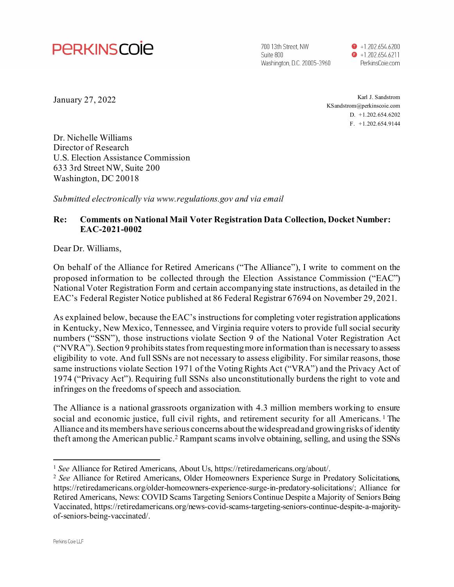

700 13th Street, NW Suite 800 Washington, D.C. 20005-3960  $\bullet$  +1.202.654.6200  $\bullet$  +1.202.654.6211 PerkinsCoie.com

January 27, 2022

Karl J. Sandstrom KSandstrom@perkinscoie.com D. +1.202.654.6202 F. +1.202.654.9144

Dr. Nichelle Williams Director of Research U.S. Election Assistance Commission 633 3rd Street NW, Suite 200 Washington, DC 20018

*Submitted electronically via www.regulations.gov and via email*

## **Re: Comments on National Mail Voter Registration Data Collection, Docket Number: EAC-2021-0002**

Dear Dr. Williams,

On behalf of the Alliance for Retired Americans ("The Alliance"), I write to comment on the proposed information to be collected through the Election Assistance Commission ("EAC") National Voter Registration Form and certain accompanying state instructions, as detailed in the EAC's Federal Register Notice published at 86 Federal Registrar 67694 on November 29, 2021.

As explained below, because the EAC's instructions for completing voter registration applications in Kentucky, New Mexico, Tennessee, and Virginia require voters to provide full social security numbers ("SSN"), those instructions violate Section 9 of the National Voter Registration Act ("NVRA"). Section 9 prohibits states from requesting more information than is necessary to assess eligibility to vote. And full SSNs are not necessary to assess eligibility. For similar reasons, those same instructions violate Section 1971 of the Voting Rights Act ("VRA") and the Privacy Act of 1974 ("Privacy Act"). Requiring full SSNs also unconstitutionally burdens the right to vote and infringes on the freedoms of speech and association.

The Alliance is a national grassroots organization with 4.3 million members working to ensure social and economic justice, full civil rights, and retirement security for all Americans.<sup>1</sup> The Alliance and its members have serious concerns about the widespread and growing risks of identity theft among the American public.2 Rampant scams involve obtaining, selling, and using the SSNs

<sup>&</sup>lt;sup>1</sup> See Alliance for Retired Americans, About Us, https://retiredamericans.org/about/.

<sup>2</sup> *See* Alliance for Retired Americans, Older Homeowners Experience Surge in Predatory Solicitations, https://retiredamericans.org/older-homeowners-experience-surge-in-predatory-solicitations/; Alliance for Retired Americans, News: COVID Scams Targeting Seniors Continue Despite a Majority of Seniors Being Vaccinated, https://retiredamericans.org/news-covid-scams-targeting-seniors-continue-despite-a-majorityof-seniors-being-vaccinated/.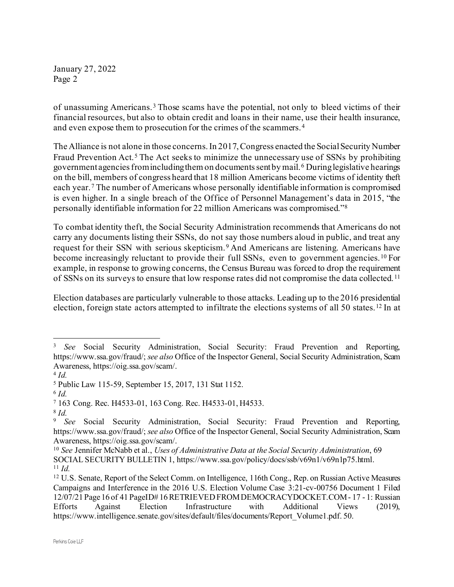of unassuming Americans.<sup>3</sup> Those scams have the potential, not only to bleed victims of their financial resources, but also to obtain credit and loans in their name, use their health insurance, and even expose them to prosecution for the crimes of the scammers. <sup>4</sup>

The Alliance is not alone in those concerns. In 2017, Congress enacted the Social Security Number Fraud Prevention Act.<sup>5</sup> The Act seeks to minimize the unnecessary use of SSNs by prohibiting government agencies from including them on documentssent by mail.6 During legislative hearings on the bill, members of congress heard that 18 million Americans become victims of identity theft each year.<sup>7</sup> The number of Americans whose personally identifiable information is compromised is even higher. In a single breach of the Office of Personnel Management's data in 2015, "the personally identifiable information for 22 million Americans was compromised."8

To combat identity theft, the Social Security Administration recommends that Americans do not carry any documents listing their SSNs, do not say those numbers aloud in public, and treat any request for their SSN with serious skepticism.9 And Americans are listening. Americans have become increasingly reluctant to provide their full SSNs, even to government agencies.<sup>10</sup> For example, in response to growing concerns, the Census Bureau was forced to drop the requirement of SSNs on its surveys to ensure that low response rates did not compromise the data collected. <sup>11</sup>

Election databases are particularly vulnerable to those attacks. Leading up to the 2016 presidential election, foreign state actors attempted to infiltrate the elections systems of all 50 states.12 In at

<sup>3</sup> *See* Social Security Administration, Social Security: Fraud Prevention and Reporting, https://www.ssa.gov/fraud/; *see also* Office of the Inspector General, Social Security Administration, Scam Awareness, https://oig.ssa.gov/scam/.

<sup>4</sup> *Id.*

<sup>5</sup> Public Law 115-59, September 15, 2017, 131 Stat 1152.

<sup>6</sup> *Id.*

<sup>7</sup> 163 Cong. Rec. H4533-01, 163 Cong. Rec. H4533-01, H4533.

<sup>8</sup> *Id.*

<sup>9</sup> *See* Social Security Administration, Social Security: Fraud Prevention and Reporting, https://www.ssa.gov/fraud/; *see also* Office of the Inspector General, Social Security Administration, Scam Awareness, https://oig.ssa.gov/scam/.

<sup>10</sup> *See* Jennifer McNabb et al., *Uses of Administrative Data at the Social Security Administration*, 69 SOCIAL SECURITY BULLETIN 1, https://www.ssa.gov/policy/docs/ssb/v69n1/v69n1p75.html.

<sup>11</sup> *Id.*

<sup>&</sup>lt;sup>12</sup> U.S. Senate, Report of the Select Comm. on Intelligence, 116th Cong., Rep. on Russian Active Measures Campaigns and Interference in the 2016 U.S. Election Volume Case 3:21-cv-00756 Document 1 Filed 12/07/21 Page 16 of 41 PageID# 16 RETRIEVED FROM DEMOCRACYDOCKET.COM - 17 - 1: Russian Efforts Against Election Infrastructure with Additional Views (2019), https://www.intelligence.senate.gov/sites/default/files/documents/Report\_Volume1.pdf. 50.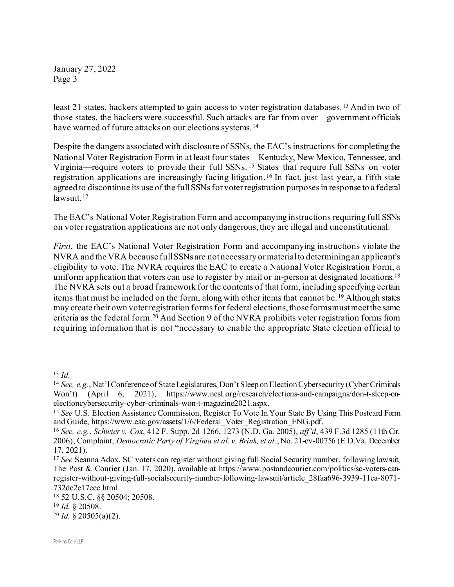least 21 states, hackers attempted to gain access to voter registration databases.13 And in two of those states, the hackers were successful. Such attacks are far from over—government officials have warned of future attacks on our elections systems.<sup>14</sup>

Despite the dangers associated with disclosure of SSNs, the EAC's instructions for completing the National Voter Registration Form in at least four states—Kentucky, New Mexico, Tennessee, and Virginia—require voters to provide their full SSNs. <sup>15</sup> States that require full SSNs on voter registration applications are increasingly facing litigation.16 In fact, just last year, a fifth state agreed to discontinue its use of the full SSNs for voter registration purposes in response to a federal lawsuit. <sup>17</sup>

The EAC's National Voter Registration Form and accompanying instructions requiring full SSNs on voter registration applications are not only dangerous, they are illegal and unconstitutional.

*First*, the EAC's National Voter Registration Form and accompanying instructions violate the NVRA and the VRA because full SSNs are not necessary or material to determining an applicant's eligibility to vote. The NVRA requires the EAC to create a National Voter Registration Form, a uniform application that voters can use to register by mail or in-person at designated locations.<sup>18</sup> The NVRA sets out a broad framework for the contents of that form, including specifying certain items that must be included on the form, along with other items that cannot be. <sup>19</sup> Although states may create their own voter registration forms for federal elections, those forms must meet the same criteria as the federal form.20 And Section 9 of the NVRA prohibits voter registration forms from requiring information that is not "necessary to enable the appropriate State election official to

<sup>13</sup> *Id.*

<sup>14</sup> *See, e.g.*, Nat'l Conference of State Legislatures, Don't Sleep on Election Cybersecurity (Cyber Criminals Won't) (April 6, 2021), https://www.ncsl.org/research/elections-and-campaigns/don-t-sleep-onelectioncybersecurity-cyber-criminals-won-t-magazine2021.aspx.

<sup>15</sup> *See* U.S. Election Assistance Commission, Register To Vote In Your State By Using This Postcard Form and Guide, https://www.eac.gov/assets/1/6/Federal\_Voter\_Registration\_ENG.pdf.

<sup>16</sup> *See, e.g.*, *Schwier v. Cox*, 412 F. Supp. 2d 1266, 1273 (N.D. Ga. 2005), *aff'd*, 439 F.3d 1285 (11th Cir. 2006); Complaint, *Democratic Party of Virginia et al. v. Brink, et al.*, No. 21-cv-00756 (E.D.Va. December 17, 2021).

<sup>17</sup> *See* Seanna Adox, SC voters can register without giving full Social Security number, following lawsuit, The Post & Courier (Jan. 17, 2020), available at https://www.postandcourier.com/politics/sc-voters-canregister-without-giving-full-socialsecurity-number-following-lawsuit/article\_28faa696-3939-11ea-8071- 732dc2e17cee.html.

<sup>18</sup> 52 U.S.C. §§ 20504; 20508.

<sup>19</sup> *Id.* § 20508.

<sup>20</sup> *Id.* § 20505(a)(2).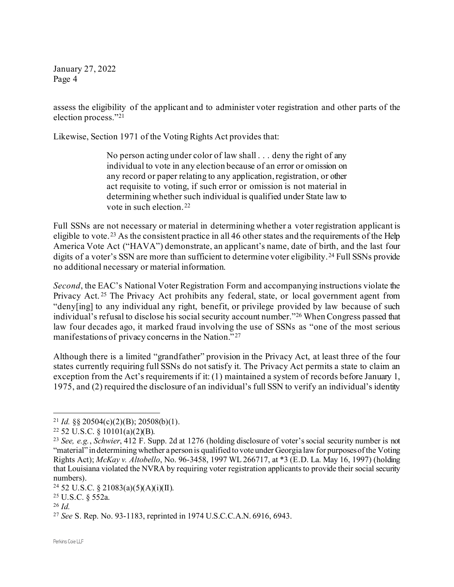assess the eligibility of the applicant and to administer voter registration and other parts of the election process."21

Likewise, Section 1971 of the Voting Rights Act provides that:

No person acting under color of law shall . . . deny the right of any individual to vote in any election because of an error or omission on any record or paper relating to any application, registration, or other act requisite to voting, if such error or omission is not material in determining whether such individual is qualified under State law to vote in such election. <sup>22</sup>

Full SSNs are not necessary or material in determining whether a voter registration applicant is eligible to vote.<sup>23</sup> As the consistent practice in all 46 other states and the requirements of the Help America Vote Act ("HAVA") demonstrate, an applicant's name, date of birth, and the last four digits of a voter's SSN are more than sufficient to determine voter eligibility. <sup>24</sup> Full SSNs provide no additional necessary or material information.

*Second*, the EAC's National Voter Registration Form and accompanying instructions violate the Privacy Act. <sup>25</sup> The Privacy Act prohibits any federal, state, or local government agent from "deny[ing] to any individual any right, benefit, or privilege provided by law because of such individual's refusal to disclose his social security account number."26 When Congress passed that law four decades ago, it marked fraud involving the use of SSNs as "one of the most serious manifestations of privacy concerns in the Nation."<sup>27</sup>

Although there is a limited "grandfather" provision in the Privacy Act, at least three of the four states currently requiring full SSNs do not satisfy it. The Privacy Act permits a state to claim an exception from the Act's requirements if it: (1) maintained a system of records before January 1, 1975, and (2) required the disclosure of an individual's full SSN to verify an individual's identity

<sup>&</sup>lt;sup>21</sup> *Id.* §§ 20504(c)(2)(B); 20508(b)(1).

<sup>22</sup> 52 U.S.C. § 10101(a)(2)(B).

<sup>23</sup> *See, e.g.*, *Schwier*, 412 F. Supp. 2d at 1276 (holding disclosure of voter's social security number is not "material" in determining whether a person is qualified to vote under Georgia law for purposes of the Voting Rights Act); *McKay v. Altobello*, No. 96-3458, 1997 WL 266717, at \*3 (E.D. La. May 16, 1997) (holding that Louisiana violated the NVRA by requiring voter registration applicants to provide their social security numbers).

<sup>&</sup>lt;sup>24</sup> 52 U.S.C. § 21083(a)(5)(A)(i)(II).

<sup>25</sup> U.S.C. § 552a.

<sup>26</sup> *Id.*

<sup>27</sup> *See* S. Rep. No. 93-1183, reprinted in 1974 U.S.C.C.A.N. 6916, 6943.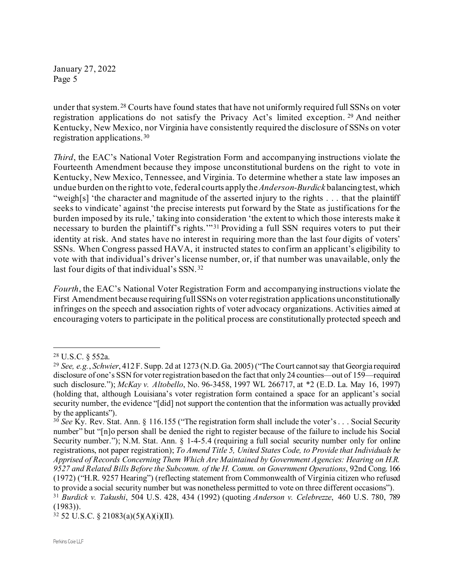under that system. <sup>28</sup> Courts have found states that have not uniformly required full SSNs on voter registration applications do not satisfy the Privacy Act's limited exception. <sup>29</sup> And neither Kentucky, New Mexico, nor Virginia have consistently required the disclosure of SSNs on voter registration applications.30

*Third*, the EAC's National Voter Registration Form and accompanying instructions violate the Fourteenth Amendment because they impose unconstitutional burdens on the right to vote in Kentucky, New Mexico, Tennessee, and Virginia. To determine whether a state law imposes an undue burden on the right to vote, federal courts apply the *Anderson-Burdick* balancing test, which "weigh[s] 'the character and magnitude of the asserted injury to the rights . . . that the plaintiff seeks to vindicate' against 'the precise interests put forward by the State as justifications for the burden imposed by its rule,' taking into consideration 'the extent to which those interests make it necessary to burden the plaintiff's rights."<sup>31</sup> Providing a full SSN requires voters to put their identity at risk. And states have no interest in requiring more than the last four digits of voters' SSNs. When Congress passed HAVA, it instructed states to confirm an applicant's eligibility to vote with that individual's driver's license number, or, if that number was unavailable, only the last four digits of that individual's SSN.32

*Fourth*, the EAC's National Voter Registration Form and accompanying instructions violate the First Amendment because requiring full SSNs on voter registration applications unconstitutionally infringes on the speech and association rights of voter advocacy organizations. Activities aimed at encouraging voters to participate in the political process are constitutionally protected speech and

<sup>28</sup> U.S.C. § 552a.

<sup>29</sup> *See, e.g.*, *Schwier*, 412 F. Supp. 2d at 1273 (N.D. Ga. 2005) ("The Court cannot say that Georgia required disclosure of one's SSN for voter registration based on the fact that only 24 counties—out of 159—required such disclosure."); *McKay v. Altobello*, No. 96-3458, 1997 WL 266717, at \*2 (E.D. La. May 16, 1997) (holding that, although Louisiana's voter registration form contained a space for an applicant's social security number, the evidence "[did] not support the contention that the information was actually provided by the applicants").

<sup>&</sup>lt;sup>30</sup> See Ky. Rev. Stat. Ann. § 116.155 ("The registration form shall include the voter's . . . Social Security number" but "[n]o person shall be denied the right to register because of the failure to include his Social Security number."); N.M. Stat. Ann. § 1-4-5.4 (requiring a full social security number only for online registrations, not paper registration); *To Amend Title 5, United States Code, to Provide that Individuals be Apprised of Records Concerning Them Which Are Maintained by Government Agencies: Hearing on H.R. 9527 and Related Bills Before the Subcomm. of the H. Comm. on Government Operations*, 92nd Cong. 166 (1972) ("H.R. 9257 Hearing") (reflecting statement from Commonwealth of Virginia citizen who refused to provide a social security number but was nonetheless permitted to vote on three different occasions").

<sup>31</sup> *Burdick v. Takushi*, 504 U.S. 428, 434 (1992) (quoting *Anderson v. Celebrezze*, 460 U.S. 780, 789 (1983)).

 $32$  52 U.S.C. § 21083(a)(5)(A)(i)(II).